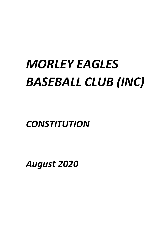# *MORLEY EAGLES BASEBALL CLUB (INC)*

*CONSTITUTION*

*August 2020*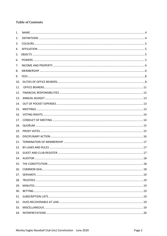# **Table of Contents**

| 1.  |  |
|-----|--|
| 2.  |  |
| 3.  |  |
| 4.  |  |
| 5.  |  |
| 6.  |  |
| 7.  |  |
| 8.  |  |
| 9.  |  |
| 10. |  |
| 11. |  |
| 12. |  |
| 13. |  |
| 14. |  |
| 15. |  |
| 16. |  |
| 17. |  |
| 18. |  |
| 19. |  |
| 20. |  |
| 21. |  |
| 22. |  |
| 23. |  |
| 24. |  |
| 25. |  |
| 26. |  |
| 27. |  |
| 28. |  |
| 29. |  |
| 30. |  |
| 31. |  |
| 32. |  |
| 33. |  |
| 34. |  |
|     |  |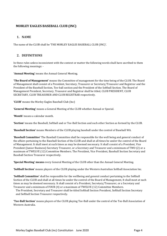# **MORLEY EAGLES BASEBALL CLUB (INC)**

# <span id="page-3-0"></span>**1. NAME**

The name of the CLUB shall be 'THE MORLEY EAGLES BASEBALL CLUB (INC)'.

# <span id="page-3-1"></span>**2. DEFINITIONS**

In these rules unless inconsistent with the context or matter the following words shall have ascribed to them the following meanings: -

'Annual Meeting' means the Annual General Meeting.

**'The Board of Management'** means the Committee of management for the time being of the CLUB. The Board of Management shall consist of a President, Secretary, Treasurer or Secretary/Treasurer and Registrar and the President of the Baseball Section, Tee-ball section and the President of the Softball Section. The Board of Management President, Secretary, Treasurer and Registrar shall be titled, CLUB PRESIDENT, CLUB SECRETARY, CLUB TREASURER AND CLUB REGISTRAR respectively.

**'CLUB'** means the Morley Eagles Baseball Club (Inc)

**'General Meeting'** means a General Meeting of the CLUB whether Annual or Special.

**'Month'** means a calendar month.

**'Section'** means the Baseball, Softball and or Tee-Ball Section and such other Section as formed by the CLUB.

**'Baseball Section'** means Members of the CLUB playing baseball under the control of Baseball WA.

**'Baseball Committee'** The Baseball Committee shall be responsible for the well being and general conduct of the affairs pertaining to the Baseball Section of the CLUB and shall at all times be under the control of the Board of Management. It shall meet at such times as may be deemed necessary. It shall consist of a President, Vice President (Junior Business) Secretary Treasurer, or a Secretary and Treasurer and a minimum of TWO (2) or a maximum of TWELVE (12) Committee Members. The President, Vice President, Baseball Section Secretary and Baseball Section Treasurer respectively.

**'Special Meeting' means** every General Meeting of the CLUB other than the Annual General Meeting.

**'Softball Section'** means players of the CLUB playing under the Western Australian Softball Association Inc.

**'Softball Committee'** shall be responsible for the wellbeing and general conduct pertaining to the Softball Section of the CLUB and shall at all times be under the control of the Board of Management, It shall meet at such times as may be deemed necessary. It shall consist of a President, Secretary/Treasurer, or a Secretary and Treasurer and a minimum of FOUR (4) or a maximum of TWELVE (12) Committee Members.

The President, Secretary and Treasurer shall be titled Softball Section President, Softball Section Secretary and Softball Section Treasurer respectively.

**'Tee-Ball Section'** means players of the CLUB playing Tee-Ball under the control of the Tee-Ball Association of Western Australia.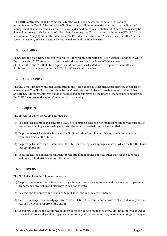**'Tee-Ball Committee'** shall be responsible for the wellbeing and general conduct of the affairs pertaining to the Tee-Ball Section of the CLUB and shall at all times be under the control of the Board of management. It shall meet at such times as may be deemed necessary. It shall meet at such times as may be deemed necessary, It shall consist of a President, Secretary and Treasurer and a minimum of FOUR (4) or a maximum of TEN (10) Committee Members. The President, Secretary and Treasurer shall be titled Tee-Ball Section President, Tee-Ball Section Secretary and Tee-Ball Section Treasurer.

# <span id="page-4-0"></span>**3. COLOURS**

Red, white and blue. Navy blue cap with red 'M' (or royal blue cap with red 'E' for Softball) outlined in white. Departure from CLUB colours shall only be with the approval of the Board of Management. CLUB Pee-Wee and Tee-Ball CLUB cap with shirt and pants as decided by the respective Committees. For Interdistrict competition the basic CLUB uniform should be worn.

# <span id="page-4-1"></span>**4. AFFILIATION**

The CLUB may affiliate with such Organisations and Associations as is deemed appropriate by the Board of management. The CLUB shall then abide by the Constitution and Rules of those bodies with whom it has affiliated. CLUB representatives on those bodies shall be approved by the Board of management and provide the CLUB Secretary with copies of minutes of each meeting.

# <span id="page-4-2"></span>**5. OBJECTS**

The objects for which the CLUB is formed are: -

- (1) To establish, maintain and conduct a CLUB of a sporting, social and non-political nature for the purpose of promoting, training, encouraging and foster the game of baseball, tee-ball and softball,
- (2) To promote social activities between the CLUB and other Clubs having objects, similar wholly or in part, with the objects of the CLUB,
- (3) To provide facilities for the Member of the CLUB and their guests upon premises of which the CLUB is bona fide occupier, and
- (4) To do all acts incidental and conducive to the attainment of these objects other than for the purpose of making a profit divisible amongst the Members.

# <span id="page-4-3"></span>**6. POWERS**

The CLUB shall have the following powers: -

- (1) To purchase, take on lease, take in exchange, hire or otherwise acquire and maintain any real or personal property and any rights and privileges in relation thereto;
- (2) To erect and to improve and repair or to pull down and rebuild any structures;
- (3) To sell, exchange, lease, mortgage, hire, dispose of, turn to account or otherwise deal with all or any part of real and personal property of the CLUB;
- (4) To borrow or raise and secure the payment of money in such manner as the CLUB thinks fot with power to issue debentures and grant mortgages, charges or any other class of security upon or charging all or any of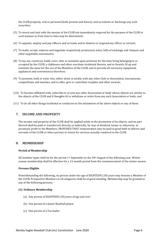the CLUB property, real or personal (both present and future), and to redeem or discharge any such securities;

- (5) To invest and deal with the monies of the CLUB not immediately required for the purpose of the CLUB in such manner as from time to time may be determined;
- (6) To appoint, employ and pay officers and servants and to dismiss or suspend any officer or servant;
- (7) To make, accept, endorse and negotiate respectively promissory notes, bills of exchange and cheques and other negotiable instruments;
- (8) To lay out, construct, build, erect, alter or maintain upon premises for the time bring belonging to or occupied by the CLUB, a clubhouse and other erections incidental thereto, and to furnish, fit up and maintain the same for the use of the Members of the CLUB, and to provide all necessary equipment, appliances and conveniences therefore;
- (9) To promote, hold or enter into, either alone or jointly with any other Club or Association, tournaments, competitions and matches, and to offer, give or contribute trophies and other awards;
- (10) To become affiliated with, subscribe to or join any other Association or body whose objects are similar to the objects of the CLUB and if thoughts fit to withdraw or retire from any such Association or body; and
- (11) To do all other things incidental or conducive to the attainment of the above objects or any of them.

## <span id="page-5-0"></span>**7. INCOME AND PROPERTY**

The income and property of the CLUB shall be applied solely to the promotion of its objects, and no part thereof shall be paid or transferred, directly or indirectly, by way of dividend, bonus or otherwise, as pecuniary profit to the Members, PROVIDED THAT remuneration may be paid in good faith to officers and servants of the CLUB or other persons in return for services actually rendered to the CLUB.

#### <span id="page-5-1"></span>**8. MEMBERSHIP**

#### **Period of Membership**

All member types shall be for the period  $1<sup>st</sup>$  September to the 30<sup>th</sup> August of the following year. Winter season membership shall be effective for a 12-month period from the commencement of the winter season.

#### **Persons Eligible**

Notwithstanding the following, no person under the age of EIGHTEEN (18) years may become a Member of the CLUB. Prospective Members in all categories shall be of good standing. Membership may be granted to any of the following persons: -

#### **(1) Ordinary Membership**

- (a) Any person of EIGHTEEN (18) years of age and over
- (b) One parent of a Junior Baseball player
- (c) One parent of a Tee-baller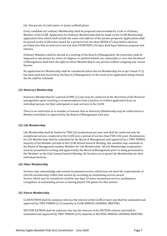(d) One parent of a Sub-junior or Junior softball player

Every candidate for ordinary Membership shall be proposed and seconded by a Life or Ordinary Member of the CLUB. Application for Ordinary Membership shall be made on the CLUB Membership application form which shall include the name and address of the person proposed. Applications shall be posted on the CLUB notice board for a period of not less than SEVEN (7) days before election provided also that an interval of not less than FOURTEEN (14) days shall lapse between proposal and election.

Ordinary Members shall be elected at a meeting of the Board of Management. No restriction shall be imposed on any person by virtue of religious or political beliefs, sex, nationality or race, but the Board of Management shall have the right to refuse Membership to any person without assigning any reason thereto.

No application for Membership shall be considered unless the set Membership fee as per Clause 9 (1) has been paid and received by the Board of Management. In the event of an application being refused the fee shall be refunded.

#### **(2) Honorary Membership**

Honorary Membership for a period of ONE (1) year may be conferred at the discretion of the Board of management upon receiving a recommendation from a Section, or written application from an individual person, for their anticipated or past services to the CLUB.

There is no restriction as to number of seasons that an Honorary Membership may be conferred on a Member provided it is approved by the Board of Management each year

#### **(3) Life Membership**

Life Membership shall be limited to TWO (2) nominations per year and shall be conferred only for exceptional services rendered to the CLUB over a period of not less than TEN (10) years. Nominations for Life Membership shall be submitted by the Board of Management and approved by a TWO THIRDS majority of the Member present at the CLUB Annual General Meeting. Any member may nominate to the Board of Management another Member for Life Membership. All Life Membership nominations must be presented in writing and approved by the Board of Management prior to being presented to the Members at the Club Annual General Meeting. No Sections are to grant Life Membership for their individual Sections.

#### **(4) Other Membership**

Sections may acknowledge and reward exceptional service, which may not meet the requirements of club life membership, within that section by awarding an outstanding service award. Service which may be considered could be less than 10 years exceptional service, posthumous recognition of outstanding service or having played 250 games for that section.

#### **(5) Patron Membership**

CLUB PATRON shall be someone who has the interest of the CLUB at heart and shall be nominated and approved by TWO THIRDS (2/3) majority at CLUB ANNUAL GENERAL MEETING.

SECTION PATRON shall be someone who has the interest of the SECTION at heart and shall be nominated and approved by TWO THIRDS (2/3) majority at SECTION ANNUAL GENERAL MEETING.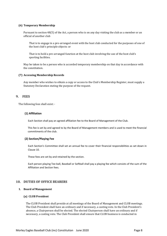#### **(6) Temporary Membership**

Pursuant to section 48(5) of the Act, a person who is on any day visiting the club as a member or an official of another club

 That is to engage in a pre-arranged event with the host club conducted for the purposes of one of the host club's principle objects: or

 That is to hold a pre-arranged function at the host club involving the use of the host club's sporting facilities.

May be taken to be a person who is accorded temporary membership on that day in accordance with the constitution.

#### **(7) Accessing Membership Records**

Any member who wishes to obtain a copy or access to the Club's Membership Register, must supply a Statutory Declaration stating the purpose of the request.

#### <span id="page-7-0"></span>**9. FEES**

The following fees shall exist: -

#### **(1) Affiliation**

Each Section shall pay an agreed affiliation fee to the Board of Management of the Club.

This fee is set by and agreed to by the Board of Management members and is used to meet the financial commitments of the club.

#### **(2) Section/Playing Fee**

Each Section's Committee shall set an annual fee to cover their financial responsibilities as set down in Clause 10.

These fees are set by and retained by the section.

Each person playing Tee-ball, Baseball or Softball shall pay a playing fee which consists of the sum of the Affiliation and Section fees.

#### <span id="page-7-1"></span>**10. DUTIES OF OFFICE BEARERS**

#### **1. Board of Management**

#### **(a) CLUB President**

The CLUB President shall preside at all meetings of the Board of Management and CLUB meetings. The Club President shall have an ordinary and if necessary, a casting vote. In the Club President's absence, a Chairperson shall be elected. The elected Chairperson shall have an ordinary and if necessary, a casting vote. The Club President shall ensure that CLUB business is conducted in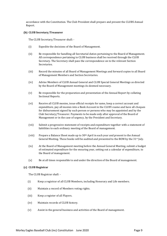accordance with the Constitution. The Club President shall prepare and present the CLUBS Annual Report.

#### **(b) CLUB Secretary/Treasurer**

The CLUB Secretary/Treasurer shall: -

- (i) Expedite the decisions of the Board of Management.
- (ii) Be responsible for handling all Secretarial duties pertaining to the Board of Management. All correspondence pertaining to CLUB business shall be received through the CLUB Secretary. The Secretary shall pass the correspondence on to the relevant Section Secretaries.
- (iii) Record the minutes of all Board of Management Meetings and forward copies to all Board of Management Members and Section Secretaries.
- (iv) Advise Members of CLUB Annual General and CLUB Special General Meetings as directed by the Board of Management meetings As deemed necessary.
- (v) Be responsible for the preparation and presentation of the Annual Report by collating Sectional Reports.
- (vi) Receive all CLUB monies, issue official receipts for same, keep a correct account and expenditure, pay all monies into a Bank Account in the CLUB's name and have all cheques for disbursement signed by such person or persons who may be appointed and by the Club Secretary/Treasurer. Payments to be made only after approval of the Board of Management or in the case of urgency, by the President and Secretary.
- (vii) Submit a progressive statement of receipts and expenditure together with a statement of liabilities to each ordinary meeting of the Board of management.
- (viii) Prepare a Balance Sheet made up to  $30<sup>th</sup>$  April in each year and present to the Annual General Meeting. These books will be audited and presented to the BOM by the  $31st$  July.
- (ix) At the Board of Management meeting before the Annual General Meeting, submit a budget of estimated expenditure for the ensuring year, setting out a calendar of expenditure, to the Board of management.
- (x) Be at all times responsible to and under the direction of the Board of management.

#### **(c) CLUB Registrar**

The CLUB Registrar shall: -

- (i) Keep a registrar of all CLUB Members, including Honorary and Life members.
- (ii) Maintain a record of Members voting rights.
- (iii) Keep a register of all Players.
- (iv) Maintain records of CLUB history.
- (v) Assist in the general business and activities of the Board of management.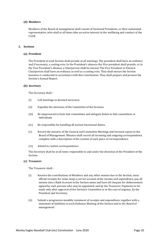#### **(d) Members**

Members of the Board of management shall consist of Sectional Presidents, or their nominated representative, who shall at all times take an active interest in the wellbeing and conduct of the CLUB.

#### **2. Sections**

#### **(a) President**

The President of each Section shall preside at all meetings. The president shall have an ordinary and if necessary, a casting vote. In the President's absence the Vice president shall preside, or in the Vice President's absence a Chairperson shall be elected. The Vice President or Elected Chairperson shall have an ordinary as well as a casting vote. They shall ensure the Section business is conducted in accordance with this Constitution. They shall prepare and present the Section's Annual Report.

#### **(b) Secretary**

The Secretary shall: -

- (i) Call meetings as deemed necessary.
- (ii) Expedite the decisions of the Committee of the Sections.
- (iii) Be empowered to form Sub-committees and delegate duties to Sub-committees or individuals.
- (iv) Be responsible for handling all normal Secretarial duties.
- (v) Record the minutes of the General and Committee Meetings and forward copies to the Board of Management. Minutes shall record all incoming and outgoing correspondence complete with a description of the content of each piece of correspondence.
- (vi) Attend to routine correspondence.

The Secretary shall be at all times responsible to and under the direction of the President of the Section.

#### **(c) Treasurer**

The Treasurer shall: -

- (i) Receive the contributions of Members and any other monies due to the Section, issue official receipts for same, keep a correct account of the income and expenditure, pay all monies into a Bank Account in the Section name and have all cheques for disbursement signed by such persons who may be appointed, and by the Treasurer. Payments to be made only after approval of the Section's Committee or in the case of urgency, by the President and Secretary.
- (ii) Submit a progressive monthly statement of receipts and expenditure, together with a statement of liabilities to each Ordinary Meeting of the Section and to the Board of management.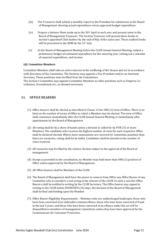- (iii) The Treasurer shall submit a monthly report to the President for submission to the Board of Management showing actual expenditure versus approved budget expenditure.
- (iv) Prepare a balance Sheet made up to the  $30<sup>th</sup>$  April in each year and present same to the Board of Management Treasurer. The Section Treasurer will present these books to section's appointed Club Auditor by the end of May of the same year. These audited books will be presented to the BOM by the 31<sup>st</sup> July.
- (v) At the Board of Management Meeting before the CLUB Annual General Meeting, submit a preliminary budget of estimated expenditure for the ensuring year, setting out a calendar of expected expenditure, and income.

#### **(d) Committee Members**

Committee Members shall take an active interest in the wellbeing of the Season and act in accordance with directions of the Committee. The Sections may appoint a Vice President and/or an Assistant Secretary. These positions must be filled from the Committees.

The Section's Committee may appoint Committee Members to other positions such as Umpires Coordinator, Groundsman etc., as deemed necessary.

# <span id="page-10-0"></span> **11. OFFICE BEARERS**

- (1) Office bearers shall be elected as described in Clause 12 for ONE (1) term of Office. There is no limit on the number of terms of Office to which a Member may be elected. The term of Office shall commence immediately after the CLUB Annual General Meeting or immediately after appointment by the Board of Management.
- (2) All voting shall be by a show of hands unless a division is called for by FIVE (5) or more Members. The candidate who receives the highest number of votes for each respective Office shall be declared elected. Where more nominations are received for Committee positions than there are vacancies, voting shall be by ballot. Candidates shall be elected on the number of votes received.
- (3) All vacancies may be filled by the relative Section subject to the approval of the Board of management.
- (4) Except as provided in the constitution, no Member may hold more than ONE (1) position of Office unless approved by the Board of Management.
- (5) All Office bearers shall be Members of the CLUB.
- (6) The Board of Management shall have the power to remove from Office any Office Bearer of any Committee who it considers is not acting in the interest of the CLUB. In such a case the Office Bearers shall be notified in writing by the CLUB Secretary. The Office bearer may appeal in writing to the CLUB within FOURTEEN (14) days, the decision of the Board of Management shall be final and binding upon the Member.
- (7) Office Bearer Eligibility Requirements Members who are undischarged bankrupts, those who have been convicted of an indictable criminal offence, those who have been convicted of fraud in the last 5 years, and those who have been convicted of an offence under the act will be disqualified as members of management committees unless they have been approved by the Commissioner for Consumer Protection.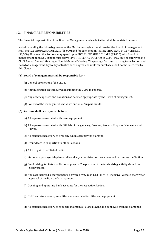# <span id="page-11-0"></span>**12. FINANCIAL RESPONSIBILITIES**

The financial responsibility of the Board of Management and each Section shall be as stated below:-

Notwithstanding the following however, the Maximum single expenditure for the Board of management shall be FIVE THOUSAND DOLLARS (\$5,000) and for each Section THREE THOUSAND FIVE HUNDRED (\$3,500). However, the Sections may spend up to FIVE THOUSAND DOLLARS (\$5,000) with Board of management approval. Expenditure above FIVE THOUSAND DOLLARS (\$5,000) may only be approved at a CLUB Annual General Meeting or Special General Meeting. The paying of accounts arising from Section and Board of Management day to day activities such as gear and uniform purchases shall not be restricted by this Clause.

#### **(1) Board of Management shall be responsible for: -**

- (a) General promotion of the CLUB.
- (b) Administration costs incurred in running the CLUB in general.
- (c) Any other expenses and donations as deemed appropriate by the Board of management.
- (d) Control of the management and distribution of Surplus Funds.

#### **(2) Sections shall be responsible for: -**

- (a) All expenses associated with team equipment.
- (b) All expenses associated with Officials of the game e.g. Coaches, Scorers, Umpires, Managers, and Player.
- (c) All expenses necessary to properly equip each playing diamond.
- (d) Ground fees in proportion to other Sections.
- (e) All fees paid to Affiliated bodies.
- (f) Stationary, postage, telephone calls and any administration costs incurred in running the Section.
- (g) Fund raising for State and National players. The purpose of the fund-raising activity should be clearly stated.
- (h) Any cost incurred, other than those covered by Clause 12.2 (a) to (g) inclusive, without the written approval of the Board of management.
- (i) Opening and operating Bank accounts for the respective Section.
- (j) CLUB and store rooms, amenities and associated facilities and equipment.
- (k) All expenses necessary to property maintain all CLUB playing and approved training diamonds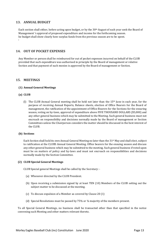# <span id="page-12-0"></span>**13. ANNUAL BUDGET**

Each section shall either, before acting upon budget, or by the  $30<sup>th</sup>$  August of each year seek the Board of Management 's approval of proposed expenditure and income for the forthcoming season. he budget shall show clearly how surplus funds from the previous season are to be spent. i

## <span id="page-12-1"></span>**14. OUT OF POCKET EXPENSES**

Any Member or person shall be reimbursed for out of pocket expenses incurred on behalf of the CLUB provided that such expenditure was authorised in principle by the Board of management or relative Section and that payment of such monies is approved by the Board of management or Section.

#### <span id="page-12-2"></span>**15. MEETINGS**

#### **(1) Annual General Meetings**

#### **(a) CLUB**

(1) The CLUB Annual General meeting shall be held not later than the  $15<sup>th</sup>$  June in each year, for the purpose of receiving Annual Reports, Balance sheets, election of Office Bearers for the Board of management, the ratification of the appointment of Office Bearers for the Sections for the ensuring season, voting on by-laws, approval of expenditure above FIVE THOUSAND DOLLARS (\$5,000) and any other general business which may be submitted to the Meeting. Such general business must not encroach on responsibility and decisions normally made by the Board of management or Section Committees unless the Chairperson considers the matter should be discussed in the best interest of the CLUB.

#### **(b) Sections**

Each Section shall hold its own Annual General Meeting no later than the 31st May and shall elect, subject to ratification at the CLUBS Annual General Meeting. Office bearers for the ensuing season and discuss any other general business which may be submitted to the meeting. Such general business if voted upon must be on matters of policy and by-laws and must not encroach on responsibilities and decisions normally made by the Section Committee.

#### **(2) CLUB Special General Meetings**

CLUB Special general Meetings shall be called by the Secretary: -

- (a) Whenever directed by the CLUB President.
- (b) Upon receiving a submission signed by at least TEN (10) Members of the CLUB setting out the subject matter to be discussed at the meeting.
- (c) To discuss expulsion of a Member as covered by Clause 20 (1)
- (d) Special Resolutions must be passed by 75% or ¾ majority of the members present.

To all Special General Meetings, no business shall be transacted other than that specified in the notice convening such Meeting and other matters relevant thereto.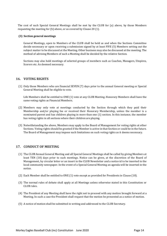The cost of such Special General Meetings shall be met by the CLUB for (a) above, by those Members requesting the meeting for (b) above, or as covered by Clause 20 (1).

#### **(3) Section general meetings**

General Meetings, open to Members of the CLUB shall be held as and when the Sections Committee decide necessary or upon receiving a submission signed by at least FIVE (5) Members setting out the subject matter to be discussed at the Meeting. Other business may also be discussed at the meeting. The method of advising Members of such a Meeting shall be decided by the relative Section.

Sections may also hold meetings of selected groups of members such as Coaches, Managers, Umpires, Scorers etc. As deemed necessary.

# <span id="page-13-0"></span>**16. VOTING RIGHTS**

(1) Only those Members who are financial SEVEN (7) days prior to the annual General meeting or Special General Meeting shall be eligible to vote.

Life Members shall be entitled to ONE (1) vote at any CLUB Meeting. Honorary Members shall have the same voting rights as Financial Members.

- (2) Members may only vote at meetings conducted by the Section through which they paid their Membership and/or playing fee or received their Honorary Membership, unless the member is a nominated parent and has children playing in more than one (1) section. In this instance, the member has voting rights in all sections where their children are playing.
- (3) Notwithstanding the above, Members may apply to the Board of Management for voting rights at other Sections. Voting rights should be granted if the Member is active in that Section or could be in the future. The Board of Management may impose such limitations on such voting rights as it deems necessary.

# <span id="page-13-1"></span>**17. CONDUCT OF MEETING**

- (1) The CLUB Annual General Meeting and all Special General Meetings shall be called by giving Members at least TEN (10) days prior to such meetings. Notice can be given, at the discretion of the Board of Management, by circular letter or an insert in the CLUB Newsletter and a notice id to be inserted in the local community newspaper. In the event of a Special General Meeting an agenda will be inserted in the notice.
- (2) Each Member shall be entitled to ONE (1) vote except as provided for Presidents in Clause (10).
- (3) The normal rules of debate shall apply at all Meetings unless otherwise stated in this Constitution or CLUB rules.
- (4) The President of any Meeting shall have the right not to proceed with any motion brought forward at a Meeting. In such a case the President shall request that the motion be presented as a notice of motion.
- (5) A notice of motion shall be submitted in writing and addressed to the CLUB Secretary.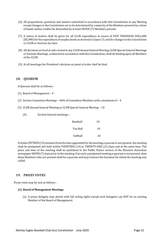- (6) All propositions, questions and matters submitted in accordance with this Constitution to any Meeting except changes to the Constitution are to be determined by a majority of the Members present by a show of hands unless a ballot be demanded by at least SEVEN (7) Members present.
- (7) A notice of motion shall be given for all CLUB expenditure in excess of FIVE THOUSDAD DOLLARS (\$5,000) for the expenditure of surplus funds as derived in Clause 13, and for changes to the Constitution or CLUB or Sections by-laws.
- (8) All decisions arrived at and carried at any CLUB Annual General Meeting, CLUB Special General Meetings or Sections Meetings, conducted in accordance with this Constitution, shall be binding upon all Members of the CLUB.
- (9) At all meetings the President's decision on point of order shall be final.

# <span id="page-14-0"></span>**18. QUORUM**

A Quorum shall be as follows: -

- (1) Board of Management 4
- (2) Section Committee Meetings 60% of Committee Members with a minimum of 4
- (3) CLUB Annual General Meeting or CLUB Special General Meeting 10
	- (4) Section General meetings: -

| Baseball | 10 |
|----------|----|
| Tee-Ball | 10 |
| Softball | 10 |

If within FIFTEEN (15) minutes from the time appointed for the meeting a quorum is not present, the meeting shall be postponed and held within FOURTEEN (14) to TWENTY-ONE (21) days and at the same time. The place and time of the meeting shall be published in the Public Notice section of the Western Australian newspaper SEVEN (7) days prior to the meeting. If at such a postponed meeting a quorum is not present, then those Members who are present shall be a quorum and may transact the business for which the meeting was called.

# <span id="page-14-1"></span>**19. PROXY VOTES**

Proxy votes may be cast as follows: -

#### **(1) Board of Management Meetings**

(a) A proxy delegate may attend with full voting rights except such delegates can NOT be an existing Member of the Board of Management.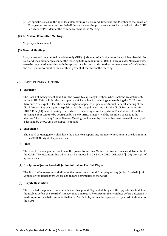(b) On specific issues on the agenda, a Member may discuss and direct another Member of the Board of Management to vote on their behalf. In such cases the proxy vote must be named with the CLUB Secretary or President at the commencement of the Meeting.

#### **(2) All Section Committee Meetings**

No proxy votes allowed.

#### **(3) General Meetings**

Proxy votes will be accepted provided only ONE (1) Member of a family votes for each Membership fee paid, and each member present at the meeting holds a maximum of ONE (1) proxy vote. All proxy votes are to be registered in writing with the appropriate Secretary prior to the commencement of the Meeting, and then announcement to the members present at the start of the meeting.

# <span id="page-15-0"></span>**20. DISCIPLINARY ACTION**

#### **(1) Expulsion**

The Board of management shall have the power to expel any Members whose actions are detrimental to the CLUB. This includes the improper use of Social Media and using same to bring the CLUB into disrepute. The expelled Member has the right of appeal to a Special or Annual General Meeting of the CLUB. Notice of appeal against expulsion must be lodged in writing with the CLUB Secretary within FOURTEEN (14) days of having received advice in writing of such expulsion. The decision of the Board of Management can only be overruled by a TWO THIRDS majority of the Members present at the Meeting. The cost of any Special General Meeting shall be met by the Members concerned if the appeal is lost and by the CLUB if the appeal is upheld.

#### **(2) Suspension**

The Board of Management shall have the power to suspend any Member whose actions are detrimental to the CLUB. No right of appeal exists.

#### **(3) Fines**

The Board of management shall have the power to fine any Member whose actions are detrimental to the CLUB. The Maximum fine which may be imposed is ONE HUNDRED DOLLARS (\$100). No right of appeal exists.

#### **(4) Discipline of Junior baseball, Junior Softball or Tee-Ball Player.**

The Board of management shall have the power to suspend from playing any Junior Baseball, Junior Softball or tee-Ball players whose actions are detrimental to the CLUB

#### **(5) Dispute Resolution**

The expelled, suspended, fined Member or disciplined Player shall be given the opportunity to defend themselves before the Board of Management, and to justify or explain their conduct before a decision is made. A Junior Baseball, Junior Softballer or Tee-Ball player must be represented by an adult Member of the CLUB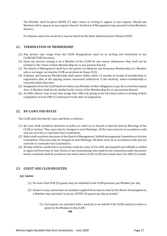The Member shall be given SEVEN (7) days' notice in writing to appear at any enquiry. Should any Members fail to appear at any enquiry thereof, the Board of Management may proceed in that Members absence.

If a Dispute cannot be resolved, it may be heard by the State Administration Tribunal (SAT).

# <span id="page-16-0"></span>**21. TERMINATION OF MEMBERSHIP**

- (1) Any person may resign from the CLUB. Resignations must be in writing and forwarded to the CLUB/SECTION Secretary.
- (2) Upon any person ceasing to be a Member of the CLUB for any reason whatsoever they shall not be entitled to the return of their Membership fee or any portion thereof.
- (3) The Board of Management shall have the power to withdraw any Honorary Membership of a Member who is no longer serving the CLUB as set down in Clause 8 (2).
- (4) Ordinary and honorary Membership shall expire within either 12 months of receipt of membership or registration date of the playing season concerned (whichever is the earliest), unless membership is renewed within that time.
- (5) Resignation from the CLUB shall not relieve any Member of their obligation to pay all accrued but unpaid dues. A Member shall not be entitled to the return of the Membership fee or any portion thereof.
- (6) An Office Bearer may at any time resign their Office by giving to the Secretary notice in writing of their resignation at least ONE (1) week prior to the date of resignation.

# <span id="page-16-1"></span>**22. BY-LAWS AND RULES**

The CLUB shall develop By-Laws and Rules as follows: -

- (1) By-Laws shall constitute decisions of policy as voted on at Annual or Special General Meetings of the CLUB or Section. They may only be changed at such Meetings. All By-Laws must be in accordance with and not override or contradict this Constitution.
- (2) Rules shall constitute decisions of the Board of Management, Softball management Committee or Section Committees. They may only be changed at such Meetings. All Rules must be in accordance with and not override or contradict this Constitution.
- (3) All play shall be conducted in accordance with the rules of Tee-Ball and baseball and Softball as settled or approved from time to time. Notice of any local playing rules made by the Committee under the power herein contained shall be posted on the notice board at the CLUB and remain there for ONE (1) month.

# <span id="page-16-2"></span>**23. GUEST AND CLUB REGISTER**

#### **(a) Guests**

- (1) No more than FIVE (5) guests may be admitted to the CLUB premises per Member per day.
- (2) Subject to any restrictions on members applied from time to time by the Board of management, a Member may introduce in excess of FIVE (5) guests per day provided: -
	- (1) Such guests are provided with a meal by or on behalf of the CLUB and prior notice is given by the Member to the CLUB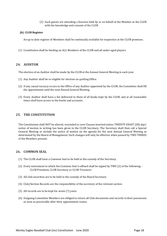(2) Such guests are attending a function held by or on behalf of the Member at the CLUB with the knowledge and consent of the CLUB

#### **(b) CLUB Register**

An up to date register of Members shall be continually available for inspection at the CLUB premises.

(1) Constitution shall be binding on ALL Members of the CLUB and all under aged players.

# <span id="page-17-0"></span>**24. AUDITOR**

The election of an Auditor shall be made by the CLUB at the Annual General Meeting in each year.

- (1) Any Auditor shall be re-eligible for election on quitting Office.
- (2) If any casual vacancy occurs in the Office of any Auditor appointed by the CLUB, the Committee shall fill the appointment until the next Annual General Meeting.
- (3) Every Auditor shall have a list delivered to them of all books kept by the CLUB, and at all reasonable times shall have access to the books and accounts.

# <span id="page-17-1"></span>**25. THE CONSTITUTION**

The Constitution shall NOT be altered, rescinded or new Clauses inserted unless TWENTY-EIGHT (28) days' notice of motion in writing has been given to the CLUB Secretary. The Secretary shall then call a Special General Meeting or include the notice of motion on the agenda for the next Annual General Meeting as determined by the Board of Management. Such changes will only be effective when passed by TWO THIRDS of the Members present.

## <span id="page-17-2"></span>**26. COMMON SEAL**

- (1) The CLUB shall have a Common Seal to be held in the custody of the Secretary.
- (2) Every instrument to which the Common Seal is affixed shall be signed by TWO (2) of the following: CLUB President, CLUB Secretary or CLUB Treasurer
- (3) All club securities are to be held in the custody of the Board Secretary
- (4) Club/Section Records are the responsibility of the secretary of the relevant section
- (5) All records are to be kept for seven (7) years
- (6) Outgoing Committee Members are obliged to return all Club documents and records in their possession as soon as practicable after their appointment ceases.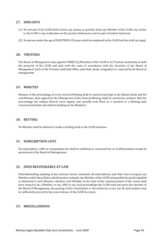## <span id="page-18-0"></span>**27. SERVANTS**

- (1) No servant of the CLUB shall receive any money or gratuity from any Member of the CLUB, any visitor to the CLUB or any tradesman on the pretext whatsoever and on pain of instant dismissal.
- (2) No person under the age of EIGHTEEN (18) years shall be employed in the CLUB but this shall not apply.

## <span id="page-18-1"></span>**28. TRUSTEES**

The Board of Management may appoint THREE (3) Members of the CLUB to be Trustees and jointly to hold the property of the CLUB and deal with the same in accordance with the direction of the Board of Management. Each of the Trustees shall hold Office until their death, resignation or removal by the Board of management.

#### <span id="page-18-2"></span>**29. MINUTES**

Minutes of the proceedings of every General Meeting shall be entered and kept in the Minute Book and the said Minutes, then signed by the Chairperson of the General Meeting shall be conclusive evidence that the proceedings the subject thereof were regular and actually took Place as a minuted at a Meeting duly convened and held, and shall be binding on the Members.

## <span id="page-18-3"></span>**30. BETTING**

No Member shall be allowed to make a betting book in the CLUB premises.

# <span id="page-18-4"></span>**31. SUBSCRIPTION LISTS**

No subscription, raffle or sweepstakes list shall be exhibited or canvassed for on CLUB premises except by permission of the Board of Management.

#### <span id="page-18-5"></span>**32. DUES RECOVERABLE AT LAW**

Notwithstanding anything to the contrary herein contained, all subscriptions and other dues owing by any Member under these Rules and all monies owing by any Member of the CLUB and payable for goods supplied or delivered to such Member, whether such Member at the time of the commencement of the action shall have ceased to be a Member or not, AND in any such proceedings the CLUB need not prove the election of the Board of Management, the passing of this Constitution or the authority to sue, but all such matters may be sufficiently proved by the oral evidence of the CLUB Secretary.

#### <span id="page-18-6"></span>**33. MISCELLANEOUS**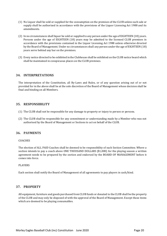- (1) No Liquor shall be sold or supplied for the consumption on the premises of the CLUB unless such sale or supply shall be authorised in accordance with the provisions of the Liquor Licensing Act 1988 and its amendments.
- (2) In no circumstances shall liquor be sold or supplied to any person under the age of EIGHTEEN (18) years. Persons under the age of EIGHTEEN (18) years may be admitted to the licensed CLUB premises in accordance with the provisions contained in the Liquor Licensing Act 1988 unless otherwise directed by the Board of Management. Under no circumstances shall any person under the age of EIGHTEEN (18) years serve behind any bar on the premises.
- (3) Every notice directed to be exhibited in the Clubhouse shall be exhibited on the CLUB notice board which shall be maintained in conspicuous places on the CLUB premises.

# <span id="page-19-0"></span>**34. INTERPRETATIONS**

The interpretation of the Constitution, all By-Laws and Rules, or of any question arising out of or not provided for in the above shall be at the sole discretion of the Board of Management whose decision shall be final and binding on all Members.

# <span id="page-19-1"></span>**35. RESPONSIBILITY**

- (1) The CLUB shall not be responsible for any damage to property or injury to person or persons.
- (2) The CLUB shall be responsible for any commitment or understanding made by a Member who was not authorised by the Board of Management or Sections to act on behalf of the CLUB.

# <span id="page-19-2"></span>**36. PAYMENTS**

#### COACHES

The election of ALL PAID Coaches shall be deemed to be responsibility of each Section Committee. Where a section intends to pay a coach above ONE THOUSAND DOLLARS (\$1,000) for the playing season a written agreement needs to be prepared by the section and endorsed by the BOARD OF MANAGEMENT before it comes into force.

#### PLAYERS

Each section shall notify the Board of Management of all agreements to pay players in cash/kind.

# <span id="page-19-3"></span>**37. PROPERTY**

All equipment, furniture and goods purchased from CLUB funds or donated to the CLUB shall be the property of the CLUB and may only be disposed of with the approval of the Board of Management. Except those items which are deemed to be playing consumables.